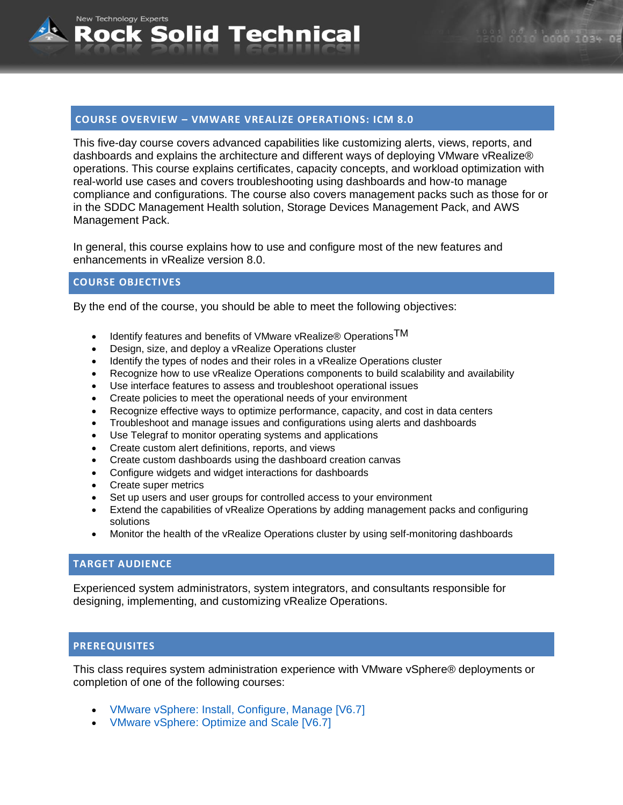# **COURSE OVERVIEW – VMWARE VREALIZE OPERATIONS: ICM 8.0**

Solid Technical

This five-day course covers advanced capabilities like customizing alerts, views, reports, and dashboards and explains the architecture and different ways of deploying VMware vRealize® operations. This course explains certificates, capacity concepts, and workload optimization with real-world use cases and covers troubleshooting using dashboards and how-to manage compliance and configurations. The course also covers management packs such as those for or in the SDDC Management Health solution, Storage Devices Management Pack, and AWS Management Pack.

In general, this course explains how to use and configure most of the new features and enhancements in vRealize version 8.0.

## **COURSE OBJECTIVES**

New Technology Experts

Rock

By the end of the course, you should be able to meet the following objectives:

- Identify features and benefits of VMware vRealize® Operations  $TM$
- Design, size, and deploy a vRealize Operations cluster
- Identify the types of nodes and their roles in a vRealize Operations cluster
- Recognize how to use vRealize Operations components to build scalability and availability
- Use interface features to assess and troubleshoot operational issues
- Create policies to meet the operational needs of your environment
- Recognize effective ways to optimize performance, capacity, and cost in data centers
- Troubleshoot and manage issues and configurations using alerts and dashboards
- Use Telegraf to monitor operating systems and applications
- Create custom alert definitions, reports, and views
- Create custom dashboards using the dashboard creation canvas
- Configure widgets and widget interactions for dashboards
- Create super metrics
- Set up users and user groups for controlled access to your environment
- Extend the capabilities of vRealize Operations by adding management packs and configuring solutions
- Monitor the health of the vRealize Operations cluster by using self-monitoring dashboards

#### **TARGET AUDIENCE**

Experienced system administrators, system integrators, and consultants responsible for designing, implementing, and customizing vRealize Operations.

#### **PREREQUISITES**

This class requires system administration experience with VMware vSphere® deployments or completion of one of the following courses:

- VMware vSphere: Install, Configure, Manage [V6.7]
- VMware vSphere: Optimize and Scale [V6.7]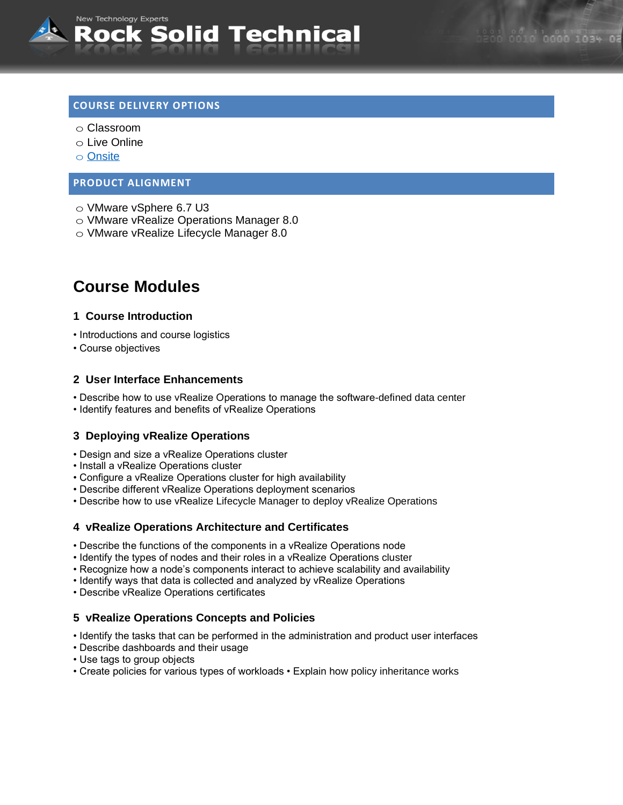

# **COURSE DELIVERY OPTIONS**

- o Classroom
- o Live Online
- o [Onsite](mailto:sales@rocksolidtechnical.com?subject=On-Site%20Inquiry)

#### **PRODUCT ALIGNMENT**

- o VMware vSphere 6.7 U3
- o VMware vRealize Operations Manager 8.0
- o VMware vRealize Lifecycle Manager 8.0

# **Course Modules**

#### **1 Course Introduction**

- Introductions and course logistics
- Course objectives

## **2 User Interface Enhancements**

- Describe how to use vRealize Operations to manage the software-defined data center
- Identify features and benefits of vRealize Operations

## **3 Deploying vRealize Operations**

- Design and size a vRealize Operations cluster
- Install a vRealize Operations cluster
- Configure a vRealize Operations cluster for high availability
- Describe different vRealize Operations deployment scenarios
- Describe how to use vRealize Lifecycle Manager to deploy vRealize Operations

## **4 vRealize Operations Architecture and Certificates**

- Describe the functions of the components in a vRealize Operations node
- Identify the types of nodes and their roles in a vRealize Operations cluster
- Recognize how a node's components interact to achieve scalability and availability
- Identify ways that data is collected and analyzed by vRealize Operations
- Describe vRealize Operations certificates

## **5 vRealize Operations Concepts and Policies**

- Identify the tasks that can be performed in the administration and product user interfaces
- Describe dashboards and their usage
- Use tags to group objects
- Create policies for various types of workloads Explain how policy inheritance works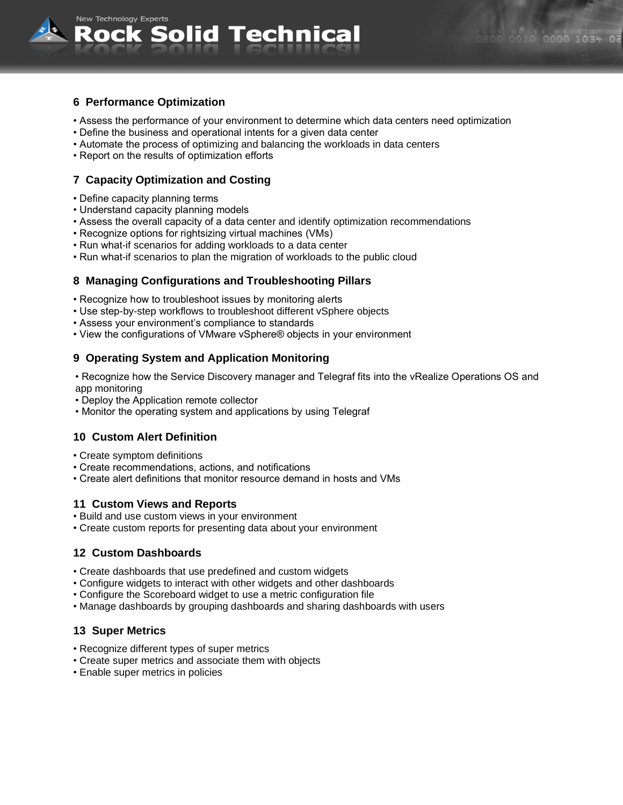

New Technology Experts

- Assess the performance of your environment to determine which data centers need optimization
- Define the business and operational intents for a given data center

Rock Solid Technical

- Automate the process of optimizing and balancing the workloads in data centers
- Report on the results of optimization efforts

## **7 Capacity Optimization and Costing**

- Define capacity planning terms
- Understand capacity planning models
- Assess the overall capacity of a data center and identify optimization recommendations
- Recognize options for rightsizing virtual machines (VMs)
- Run what-if scenarios for adding workloads to a data center
- Run what-if scenarios to plan the migration of workloads to the public cloud

#### **8 Managing Configurations and Troubleshooting Pillars**

- Recognize how to troubleshoot issues by monitoring alerts
- Use step-by-step workflows to troubleshoot different vSphere objects
- Assess your environment's compliance to standards
- View the configurations of VMware vSphere® objects in your environment

## **9 Operating System and Application Monitoring**

• Recognize how the Service Discovery manager and Telegraf fits into the vRealize Operations OS and app monitoring

- Deploy the Application remote collector
- Monitor the operating system and applications by using Telegraf

## **10 Custom Alert Definition**

- Create symptom definitions
- Create recommendations, actions, and notifications
- Create alert definitions that monitor resource demand in hosts and VMs

#### **11 Custom Views and Reports**

- Build and use custom views in your environment
- Create custom reports for presenting data about your environment

## **12 Custom Dashboards**

- Create dashboards that use predefined and custom widgets
- Configure widgets to interact with other widgets and other dashboards
- Configure the Scoreboard widget to use a metric configuration file
- Manage dashboards by grouping dashboards and sharing dashboards with users

#### **13 Super Metrics**

- Recognize different types of super metrics
- Create super metrics and associate them with objects
- Enable super metrics in policies